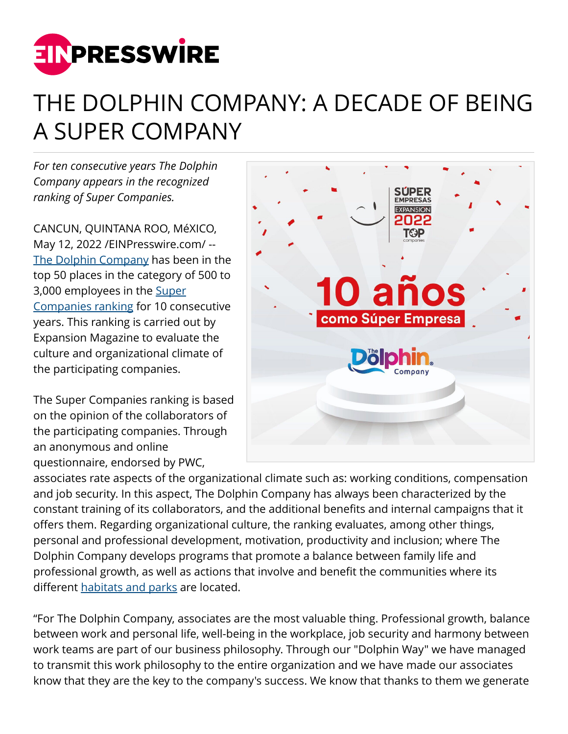

## THE DOLPHIN COMPANY: A DECADE OF BEING A SUPER COMPANY

*For ten consecutive years The Dolphin Company appears in the recognized ranking of Super Companies.*

CANCUN, QUINTANA ROO, MéXICO, May 12, 2022 [/EINPresswire.com](http://www.einpresswire.com)/ -- [The Dolphin Company](https://thedolphinco.com/) has been in the top 50 places in the category of 500 to 3,000 employees in the [Super](https://www.dolphindiscovery.com/company/about-us.asp) [Companies ranking](https://www.dolphindiscovery.com/company/about-us.asp) for 10 consecutive years. This ranking is carried out by Expansion Magazine to evaluate the culture and organizational climate of the participating companies.

The Super Companies ranking is based on the opinion of the collaborators of the participating companies. Through an anonymous and online questionnaire, endorsed by PWC,



associates rate aspects of the organizational climate such as: working conditions, compensation and job security. In this aspect, The Dolphin Company has always been characterized by the constant training of its collaborators, and the additional benefits and internal campaigns that it offers them. Regarding organizational culture, the ranking evaluates, among other things, personal and professional development, motivation, productivity and inclusion; where The Dolphin Company develops programs that promote a balance between family life and professional growth, as well as actions that involve and benefit the communities where its different **habitats** and parks are located.

"For The Dolphin Company, associates are the most valuable thing. Professional growth, balance between work and personal life, well-being in the workplace, job security and harmony between work teams are part of our business philosophy. Through our "Dolphin Way" we have managed to transmit this work philosophy to the entire organization and we have made our associates know that they are the key to the company's success. We know that thanks to them we generate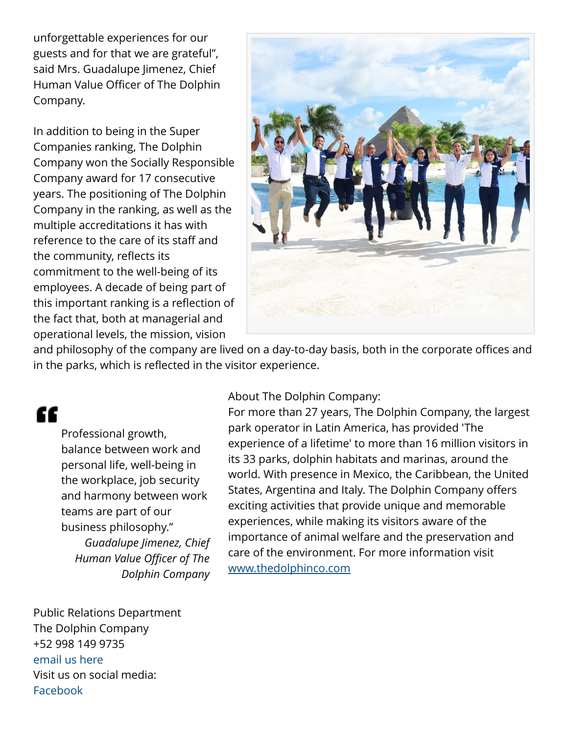unforgettable experiences for our guests and for that we are grateful", said Mrs. Guadalupe Jimenez, Chief Human Value Officer of The Dolphin Company.

In addition to being in the Super Companies ranking, The Dolphin Company won the Socially Responsible Company award for 17 consecutive years. The positioning of The Dolphin Company in the ranking, as well as the multiple accreditations it has with reference to the care of its staff and the community, reflects its commitment to the well-being of its employees. A decade of being part of this important ranking is a reflection of the fact that, both at managerial and operational levels, the mission, vision



and philosophy of the company are lived on a day-to-day basis, both in the corporate offices and in the parks, which is reflected in the visitor experience.

## ſſ

Professional growth, balance between work and personal life, well-being in the workplace, job security and harmony between work teams are part of our business philosophy." *Guadalupe Jimenez, Chief Human Value Officer of The Dolphin Company* About The Dolphin Company:

For more than 27 years, The Dolphin Company, the largest park operator in Latin America, has provided 'The experience of a lifetime' to more than 16 million visitors in its 33 parks, dolphin habitats and marinas, around the world. With presence in Mexico, the Caribbean, the United States, Argentina and Italy. The Dolphin Company offers exciting activities that provide unique and memorable experiences, while making its visitors aware of the importance of animal welfare and the preservation and care of the environment. For more information visit [www.thedolphinco.com](http://www.thedolphinco.com)

Public Relations Department The Dolphin Company +52 998 149 9735 [email us here](http://www.einpresswire.com/contact_author/3482252) Visit us on social media: [Facebook](https://www.facebook.com/TheDolphinCo/)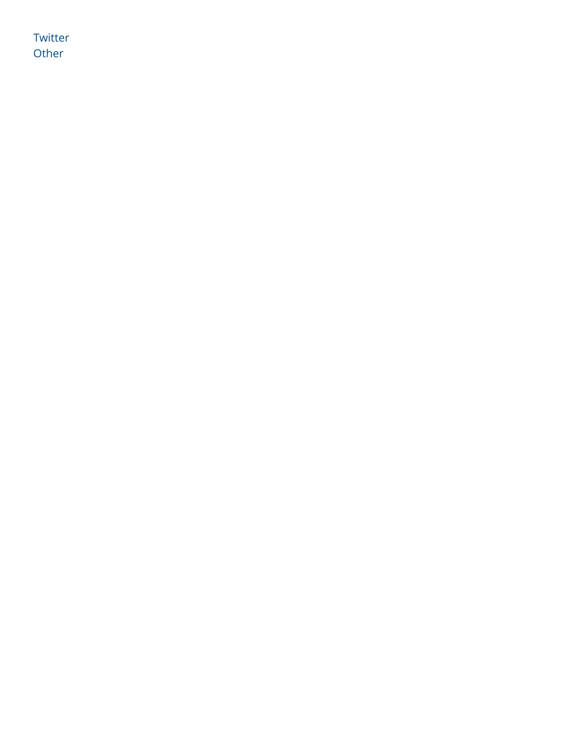**[Twitter](https://twitter.com/TheDolphinCo_)** [Other](https://www.instagram.com/thedolphinco)